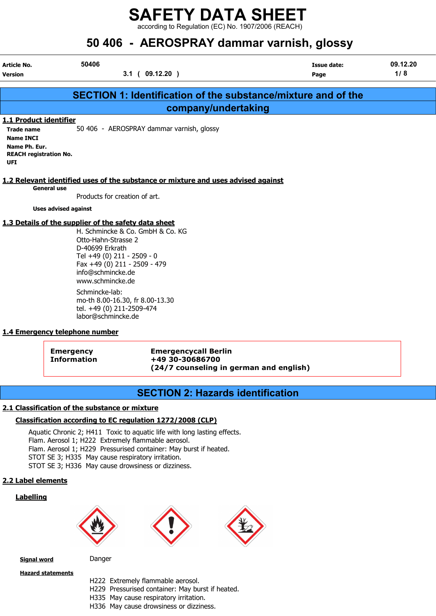according to Regulation (EC) No. 1907/2006 (REACH)

# 50 406 - AEROSPRAY dammar varnish, glossy

| Article No.                          | 50406 |                                                               | Issue date: | 09.12.20 |  |
|--------------------------------------|-------|---------------------------------------------------------------|-------------|----------|--|
| <b>Version</b>                       |       | 09.12.20)<br>3.1<br>$\sim$ (                                  | Page        | 1/8      |  |
|                                      |       |                                                               |             |          |  |
|                                      |       | SECTION 1: Identification of the substance/mixture and of the |             |          |  |
|                                      |       | company/undertaking                                           |             |          |  |
| 1.1 Product identifier               |       |                                                               |             |          |  |
| <b>Trade name</b>                    |       | 50 406 - AEROSPRAY dammar varnish, glossy                     |             |          |  |
| <b>Name INCI</b>                     |       |                                                               |             |          |  |
| Name Ph. Eur.                        |       |                                                               |             |          |  |
| <b>REACH registration No.</b><br>UFI |       |                                                               |             |          |  |

#### 1.2 Relevant identified uses of the substance or mixture and uses advised against

General use

Products for creation of art.

Uses advised against

#### 1.3 Details of the supplier of the safety data sheet

H. Schmincke & Co. GmbH & Co. KG Otto-Hahn-Strasse 2 D-40699 Erkrath Tel +49 (0) 211 - 2509 - 0 Fax +49 (0) 211 - 2509 - 479 info@schmincke.de www.schmincke.de Schmincke-lab: mo-th 8.00-16.30, fr 8.00-13.30

tel. +49 (0) 211-2509-474 labor@schmincke.de

#### 1.4 Emergency telephone number

Emergency Emergencycall Berlin Information +49 30-30686700 (24/7 counseling in german and english)

## SECTION 2: Hazards identification

#### 2.1 Classification of the substance or mixture

#### Classification according to EC regulation 1272/2008 (CLP)

Aquatic Chronic 2; H411 Toxic to aquatic life with long lasting effects. Flam. Aerosol 1; H222 Extremely flammable aerosol. Flam. Aerosol 1; H229 Pressurised container: May burst if heated. STOT SE 3; H335 May cause respiratory irritation. STOT SE 3; H336 May cause drowsiness or dizziness.

#### 2.2 Label elements

#### Labelling







**Signal word** Danger

Hazard statements

- H222 Extremely flammable aerosol.
- H229 Pressurised container: May burst if heated.
- H335 May cause respiratory irritation.
- H336 May cause drowsiness or dizziness.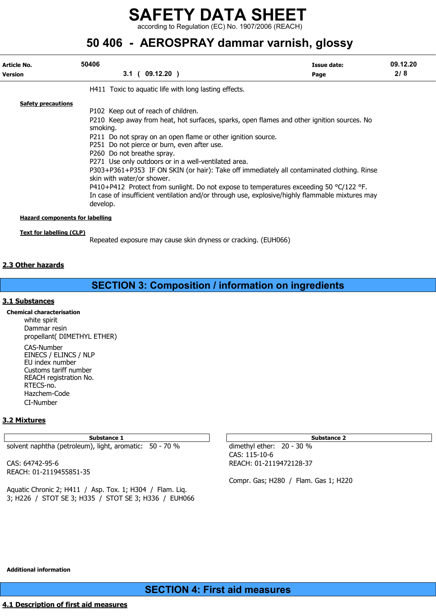according to Regulation (EC) No. 1907/2006 (REACH)

# 50 406 - AEROSPRAY dammar varnish, glossy

| Article No.                            | 50406                                                                                                                                                                                                                                                                                                                                                                                                                                                                                                                                                                                                                                                                                             | Issue date: | 09.12.20 |
|----------------------------------------|---------------------------------------------------------------------------------------------------------------------------------------------------------------------------------------------------------------------------------------------------------------------------------------------------------------------------------------------------------------------------------------------------------------------------------------------------------------------------------------------------------------------------------------------------------------------------------------------------------------------------------------------------------------------------------------------------|-------------|----------|
| <b>Version</b>                         | 3.1(09.12.20)                                                                                                                                                                                                                                                                                                                                                                                                                                                                                                                                                                                                                                                                                     | Page        | 2/8      |
|                                        | H411 Toxic to aquatic life with long lasting effects.                                                                                                                                                                                                                                                                                                                                                                                                                                                                                                                                                                                                                                             |             |          |
| <b>Safety precautions</b>              | P102 Keep out of reach of children.<br>P210 Keep away from heat, hot surfaces, sparks, open flames and other ignition sources. No<br>smoking.<br>P211 Do not spray on an open flame or other ignition source.<br>P251 Do not pierce or burn, even after use.<br>P260 Do not breathe spray.<br>P271 Use only outdoors or in a well-ventilated area.<br>P303+P361+P353 IF ON SKIN (or hair): Take off immediately all contaminated clothing. Rinse<br>skin with water/or shower.<br>P410+P412 Protect from sunlight. Do not expose to temperatures exceeding 50 $^{\circ}$ C/122 °F.<br>In case of insufficient ventilation and/or through use, explosive/highly flammable mixtures may<br>develop. |             |          |
| <b>Hazard components for labelling</b> |                                                                                                                                                                                                                                                                                                                                                                                                                                                                                                                                                                                                                                                                                                   |             |          |
| <b>Text for labelling (CLP)</b>        | Repeated exposure may cause skin dryness or cracking. (EUH066)                                                                                                                                                                                                                                                                                                                                                                                                                                                                                                                                                                                                                                    |             |          |

#### 2.3 Other hazards

## SECTION 3: Composition / information on ingredients

#### 3.1 Substances

Chemical characterisation white spirit Dammar resin propellant( DIMETHYL ETHER) CAS-Number EINECS / ELINCS / NLP EU index number Customs tariff number REACH registration No. RTECS-no. Hazchem-Code CI-Number

#### 3.2 Mixtures

Substance 1 Substance 2 Substance 2 Substance 2 Substance 2 Substance 2 Substance 2 Substance 2 Substance 2 Substance 2 Substance 2 Substance 2 Substance 2 Substance 2 Substance 2 Substance 2 Substance 2 Substance 2 Substa

solvent naphtha (petroleum), light, aromatic: 50 - 70 % dimethyl ether: 20 - 30 %

REACH: 01-2119455851-35

Aquatic Chronic 2; H411 / Asp. Tox. 1; H304 / Flam. Liq. 3; H226 / STOT SE 3; H335 / STOT SE 3; H336 / EUH066

CAS: 115-10-6 CAS: 64742-95-6 REACH: 01-2119472128-37

Compr. Gas; H280 / Flam. Gas 1; H220

Additional information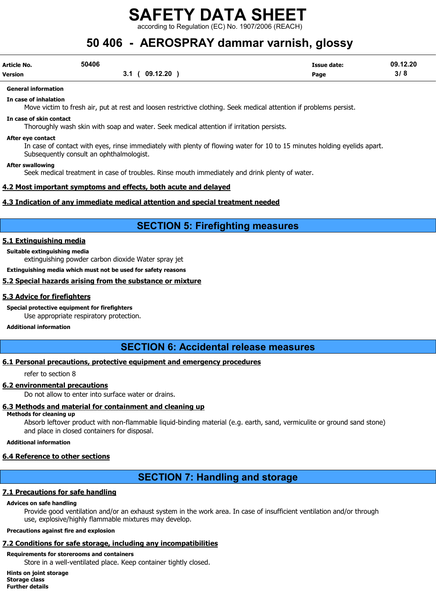cording to Regulation (EC) No. 1907/2006 (REACH):

## 50 406 - AEROSPRAY dammar varnish, glossy

| Article No.    | 50406 |                  | <b>Issue date:</b> | 09.12.20 |
|----------------|-------|------------------|--------------------|----------|
| <b>Version</b> |       | 09.12.20<br>v. I | Page               | 3/8      |

## General information

In case of inhalation

Move victim to fresh air, put at rest and loosen restrictive clothing. Seek medical attention if problems persist.

#### In case of skin contact

Thoroughly wash skin with soap and water. Seek medical attention if irritation persists.

#### After eye contact

In case of contact with eyes, rinse immediately with plenty of flowing water for 10 to 15 minutes holding eyelids apart. Subsequently consult an ophthalmologist.

#### After swallowing

Seek medical treatment in case of troubles. Rinse mouth immediately and drink plenty of water.

#### 4.2 Most important symptoms and effects, both acute and delayed

#### 4.3 Indication of any immediate medical attention and special treatment needed

## SECTION 5: Firefighting measures

#### 5.1 Extinguishing media

Suitable extinguishing media

extinguishing powder carbon dioxide Water spray jet

Extinguishing media which must not be used for safety reasons

#### 5.2 Special hazards arising from the substance or mixture

#### 5.3 Advice for firefighters

Special protective equipment for firefighters

Use appropriate respiratory protection.

#### Additional information

## SECTION 6: Accidental release measures

#### 6.1 Personal precautions, protective equipment and emergency procedures

refer to section 8

#### 6.2 environmental precautions

Do not allow to enter into surface water or drains.

#### 6.3 Methods and material for containment and cleaning up

#### Methods for cleaning up

Absorb leftover product with non-flammable liquid-binding material (e.g. earth, sand, vermiculite or ground sand stone) and place in closed containers for disposal.

#### Additional information

#### 6.4 Reference to other sections

## SECTION 7: Handling and storage

#### 7.1 Precautions for safe handling

#### Advices on safe handling

Provide good ventilation and/or an exhaust system in the work area. In case of insufficient ventilation and/or through use, explosive/highly flammable mixtures may develop.

#### Precautions against fire and explosion

### 7.2 Conditions for safe storage, including any incompatibilities

#### Requirements for storerooms and containers

Store in a well-ventilated place. Keep container tightly closed.

Hints on joint storage Storage class Further details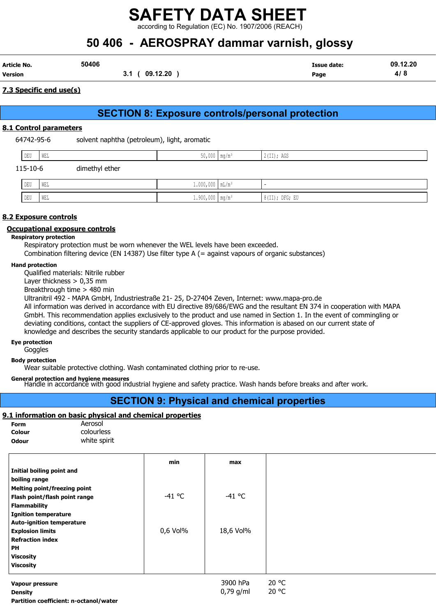according to Regulation (EC) No. 1907/2006 (REACH)

# 50 406 - AEROSPRAY dammar varnish, glossy

| Article No. | 50406 |                            | Issue date: | .12.20<br>09 |
|-------------|-------|----------------------------|-------------|--------------|
| Version     |       | 9.12.20<br>09<br><b>v.</b> | Page        |              |

#### 7.3 Specific end use(s)

## SECTION 8: Exposure controls/personal protection

#### 8.1 Control parameters

64742-95-6 solvent naphtha (petroleum), light, aromatic

|                            | DEU | WEL | $50,000$ mg/m <sup>3</sup> | $2$ (II); AGS |
|----------------------------|-----|-----|----------------------------|---------------|
| 115-10-6<br>dimethyl ether |     |     |                            |               |
|                            | DEU | WEL | $1.000,000$ $mL/m^3$       | -             |

DEU WEL 1.900,000 mg/m³ 8(II); DFG; EU

#### 8.2 Exposure controls

#### Occupational exposure controls

#### Respiratory protection

Respiratory protection must be worn whenever the WEL levels have been exceeded.

Combination filtering device (EN 14387) Use filter type A (= against vapours of organic substances)

#### Hand protection

Qualified materials: Nitrile rubber

Layer thickness > 0,35 mm

Breakthrough time > 480 min

Ultranitril 492 - MAPA GmbH, Industriestraße 21- 25, D-27404 Zeven, Internet: www.mapa-pro.de

All information was derived in accordance with EU directive 89/686/EWG and the resultant EN 374 in cooperation with MAPA GmbH. This recommendation applies exclusively to the product and use named in Section 1. In the event of commingling or deviating conditions, contact the suppliers of CE-approved gloves. This information is abased on our current state of knowledge and describes the security standards applicable to our product for the purpose provided.

#### Eye protection

**Goggles** 

#### Body protection

Wear suitable protective clothing. Wash contaminated clothing prior to re-use.

General protection and hygiene measures<br>Handle in accordance with good industrial hygiene and safety practice. Wash hands before breaks and after work.

## SECTION 9: Physical and chemical properties

#### 9.1 information on basic physical and chemical properties

| <b>Form</b>  | Aerosol      |
|--------------|--------------|
| Colour       | colourless   |
| <b>Odour</b> | white spirit |

|                                        | min      | max         |       |
|----------------------------------------|----------|-------------|-------|
| Initial boiling point and              |          |             |       |
| boiling range                          |          |             |       |
| Melting point/freezing point           |          |             |       |
| Flash point/flash point range          | $-41$ °C | $-41$ °C    |       |
| <b>Flammability</b>                    |          |             |       |
| <b>Ignition temperature</b>            |          |             |       |
| <b>Auto-ignition temperature</b>       |          |             |       |
| <b>Explosion limits</b>                | 0,6 Vol% | 18,6 Vol%   |       |
| <b>Refraction index</b>                |          |             |       |
| PH                                     |          |             |       |
| <b>Viscosity</b>                       |          |             |       |
| <b>Viscosity</b>                       |          |             |       |
| Vapour pressure                        |          | 3900 hPa    | 20 °C |
| <b>Density</b>                         |          | $0,79$ g/ml | 20 °C |
| Partition coefficient: n-octanol/water |          |             |       |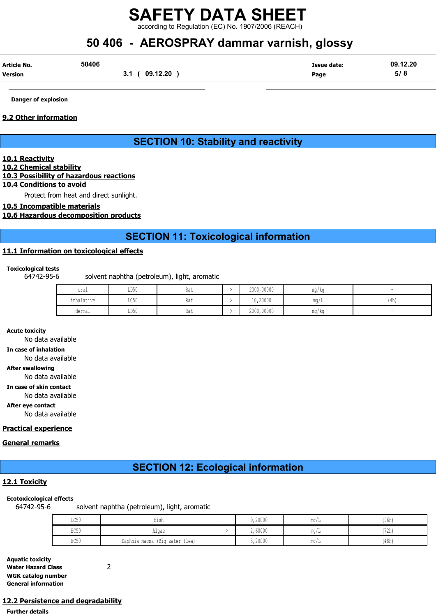according to Regulation (EC) No. 1907/2006 (REACH)

## 50 406 - AEROSPRAY dammar varnish, glossy

| Article No.    | 50406 |                 | Issue date: | 09.12.20 |
|----------------|-------|-----------------|-------------|----------|
| <b>Version</b> |       | 09.12.20<br>v., | Page        | 5/8      |

Danger of explosion

#### 9.2 Other information

## SECTION 10: Stability and reactivity

#### 10.1 Reactivity

## 10.2 Chemical stability

### 10.3 Possibility of hazardous reactions

#### 10.4 Conditions to avoid

Protect from heat and direct sunlight.

#### 10.5 Incompatible materials

#### 10.6 Hazardous decomposition products

## SECTION 11: Toxicological information

#### 11.1 Information on toxicological effects

#### Toxicological tests

64742-95-6 solvent naphtha (petroleum), light, aromatic

| oral                                           | LD50                    | Rat | 2000,00000 | $\cdots$<br>ma/ka     |      |
|------------------------------------------------|-------------------------|-----|------------|-----------------------|------|
| the second control of the second<br>inhalative | $T \cap E \cap$<br>せいりり | Rat | 10,20000   | $m \sim$<br>111.U / 1 | (4h) |
| dermal                                         | LD50                    | Rat | 2000,00000 | ma/ka                 |      |

Acute toxicity

No data available In case of inhalation No data available After swallowing No data available In case of skin contact No data available After eye contact No data available

#### Practical experience

#### General remarks

## SECTION 12: Ecological information

#### 12.1 Toxicity

#### Ecotoxicological effects

64742-95-6 solvent naphtha (petroleum), light, aromatic

| LC50 | tısh                           | 9,20000 | mq/L | (96h) |
|------|--------------------------------|---------|------|-------|
| EC50 | Algae                          | 2,60000 | ma/L | (72h) |
| EC50 | Daphnia magna (Big water flea) | 3,20000 | mg/L | (48h) |

| <b>Aquatic toxicity</b>    |  |
|----------------------------|--|
| <b>Water Hazard Class</b>  |  |
| <b>WGK catalog number</b>  |  |
| <b>General information</b> |  |

### 12.2 Persistence and degradability

Further details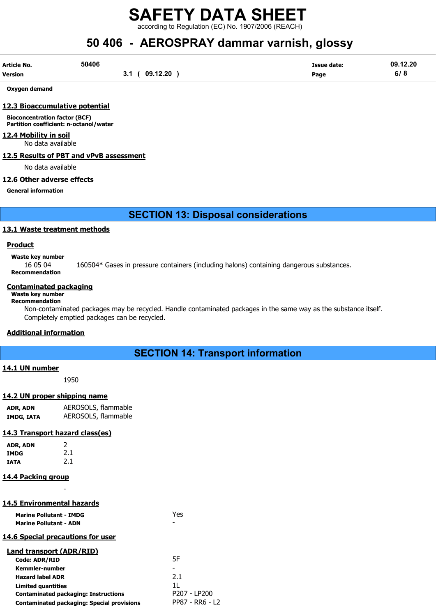according to Regulation (EC) No. 1907/2006 (REACH)

# 50 406 - AEROSPRAY dammar varnish, glossy

| Article No. | 50406                    | <b>Issue date:</b> | 09.12.20                      |
|-------------|--------------------------|--------------------|-------------------------------|
| Version     | 09.12.20<br>◡.<br>$\sim$ | Page               | $\sim$ $\sim$ $\sim$<br>0 / O |

Oxygen demand

#### 12.3 Bioaccumulative potential

Bioconcentration factor (BCF) Partition coefficient: n-octanol/water

#### 12.4 Mobility in soil

No data available

#### 12.5 Results of PBT and vPvB assessment

No data available

#### 12.6 Other adverse effects

General information

## SECTION 13: Disposal considerations

#### 13.1 Waste treatment methods

#### Product

Waste key number

16 05 04 160504\* Gases in pressure containers (including halons) containing dangerous substances. Recommendation

#### Contaminated packaging

#### Waste key number Recommendation

Non-contaminated packages may be recycled. Handle contaminated packages in the same way as the substance itself. Completely emptied packages can be recycled.

#### Additional information

## SECTION 14: Transport information

#### 14.1 UN number

1950

### 14.2 UN proper shipping name

ADR, ADN AEROSOLS, flammable IMDG, IATA AEROSOLS, flammable

### 14.3 Transport hazard class(es)

| ADR, ADN | 2   |
|----------|-----|
| IMDG     | 2.1 |
| IATA     | 2.1 |

### 14.4 Packing group

### 14.5 Environmental hazards

-

| <b>Marine Pollutant - IMDG</b><br><b>Marine Pollutant - ADN</b> | Yes             |
|-----------------------------------------------------------------|-----------------|
| 14.6 Special precautions for user                               |                 |
| Land transport (ADR/RID)                                        |                 |
| Code: ADR/RID                                                   | 5F              |
| Kemmler-number                                                  |                 |
| <b>Hazard label ADR</b>                                         | 2.1             |
| Limited quantities                                              | 11              |
| <b>Contaminated packaging: Instructions</b>                     | P207 - LP200    |
| <b>Contaminated packaging: Special provisions</b>               | PP87 - RR6 - L2 |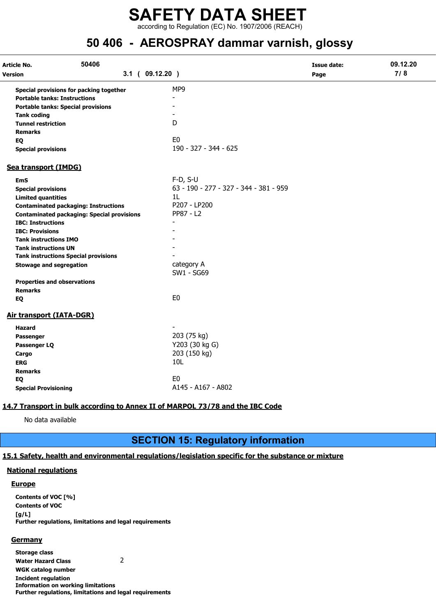## SAFETY DATA SHEET according to Regulation (EC) No. 1907/2006 (REACH)

## 50 406 - AEROSPRAY dammar varnish, glossy

| Article No.                                 | 50406                                             |                                        | <b>Issue date:</b> | 09.12.20 |
|---------------------------------------------|---------------------------------------------------|----------------------------------------|--------------------|----------|
| Version                                     | $3.1$ ( $09.12.20$ )                              |                                        | Page               | 7/8      |
| Special provisions for packing together     |                                                   | MP9                                    |                    |          |
| <b>Portable tanks: Instructions</b>         |                                                   |                                        |                    |          |
| <b>Portable tanks: Special provisions</b>   |                                                   |                                        |                    |          |
| <b>Tank coding</b>                          |                                                   |                                        |                    |          |
| <b>Tunnel restriction</b>                   |                                                   | D                                      |                    |          |
| <b>Remarks</b>                              |                                                   |                                        |                    |          |
| EQ                                          |                                                   | E <sub>0</sub>                         |                    |          |
| <b>Special provisions</b>                   |                                                   | 190 - 327 - 344 - 625                  |                    |          |
| Sea transport (IMDG)                        |                                                   |                                        |                    |          |
| <b>EmS</b>                                  |                                                   | $F-D, S-U$                             |                    |          |
| <b>Special provisions</b>                   |                                                   | 63 - 190 - 277 - 327 - 344 - 381 - 959 |                    |          |
| <b>Limited quantities</b>                   |                                                   | 1L                                     |                    |          |
| <b>Contaminated packaging: Instructions</b> |                                                   | P207 - LP200                           |                    |          |
|                                             | <b>Contaminated packaging: Special provisions</b> | PP87 - L2                              |                    |          |
| <b>IBC: Instructions</b>                    |                                                   |                                        |                    |          |
| <b>IBC: Provisions</b>                      |                                                   |                                        |                    |          |
| <b>Tank instructions IMO</b>                |                                                   |                                        |                    |          |
| <b>Tank instructions UN</b>                 |                                                   |                                        |                    |          |
| <b>Tank instructions Special provisions</b> |                                                   |                                        |                    |          |
| <b>Stowage and segregation</b>              |                                                   | category A                             |                    |          |
|                                             |                                                   | SW1 - SG69                             |                    |          |
| <b>Properties and observations</b>          |                                                   |                                        |                    |          |
| <b>Remarks</b>                              |                                                   |                                        |                    |          |
| EQ                                          |                                                   | E <sub>0</sub>                         |                    |          |
| <b>Air transport (IATA-DGR)</b>             |                                                   |                                        |                    |          |
| Hazard                                      |                                                   |                                        |                    |          |
| Passenger                                   |                                                   | 203 (75 kg)                            |                    |          |
| Passenger LQ                                |                                                   | Y203 (30 kg G)                         |                    |          |
| Cargo                                       |                                                   | 203 (150 kg)                           |                    |          |
| <b>ERG</b>                                  |                                                   | 10L                                    |                    |          |
| <b>Remarks</b>                              |                                                   |                                        |                    |          |
| EQ                                          |                                                   | E <sub>0</sub>                         |                    |          |
| <b>Special Provisioning</b>                 |                                                   | A145 - A167 - A802                     |                    |          |

#### 14.7 Transport in bulk according to Annex II of MARPOL 73/78 and the IBC Code

No data available

## SECTION 15: Regulatory information

#### 15.1 Safety, health and environmental regulations/legislation specific for the substance or mixture

#### National regulations

#### **Europe**

Contents of VOC [%] Contents of VOC [g/L] Further regulations, limitations and legal requirements

#### **Germany**

Storage class Water Hazard Class 2 WGK catalog number Incident regulation Information on working limitations Further regulations, limitations and legal requirements